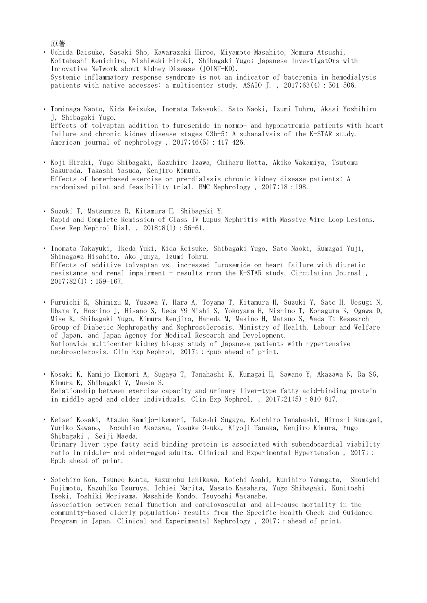## 原著

- ・ Uchida Daisuke, Sasaki Sho, Kawarazaki Hiroo, Miyamoto Masahito, Nomura Atsushi, Koitabashi Kenichiro, Nishiwaki Hiroki, Shibagaki Yugo; Japanese InvestigatOrs with Innovative NeTwork about Kidney Disease (JOINT-KD). Systemic inflammatory response syndrome is not an indicator of bateremia in hemodialysis patients with native accesses: a multicenter study. ASAIO J. , 2017;63(4):501-506.
- ・ Tominaga Naoto, Kida Keisuke, Inomata Takayuki, Sato Naoki, Izumi Tohru, Akasi Yoshihiro J, Shibagaki Yugo. Effects of tolvaptan addition to furosemide in normo- and hyponatremia patients with heart failure and chronic kidney disease stages G3b-5: A subanalysis of the K-STAR study. American journal of nephrology,  $2017;46(5):417-426$ .
- ・ Koji Hiraki, Yugo Shibagaki, Kazuhiro Izawa, Chiharu Hotta, Akiko Wakamiya, Tsutomu Sakurada, Takashi Yasuda, Kenjiro Kimura. Effects of home-based exercise on pre-dialysis chronic kidney disease patients: A randomized pilot and feasibility trial. BMC Nephrology , 2017;18:198.
- ・ Suzuki T, Matsumura R, Kitamura H, Shibagaki Y. Rapid and Complete Remission of Class IV Lupus Nephritis with Massive Wire Loop Lesions. Case Rep Nephrol Dial. , 2018;8(1):56-61.
- ・ Inomata Takayuki, Ikeda Yuki, Kida Keisuke, Shibagaki Yugo, Sato Naoki, Kumagai Yuji, Shinagawa Hisahito, Ako Junya, Izumi Tohru. Effects of additive tolvaptan vs. increased furosemide on heart failure with diuretic resistance and renal impairment - results rrom the K-STAR study. Circulation Journal ,  $2017;82(1):159-167.$
- ・ Furuichi K, Shimizu M, Yuzawa Y, Hara A, Toyama T, Kitamura H, Suzuki Y, Sato H, Uesugi N, Ubara Y, Hoshino J, Hisano S, Ueda Y9 Nishi S, Yokoyama H, Nishino T, Kohagura K, Ogawa D, Mise K, Shibagaki Yugo, Kimura Kenjiro, Haneda M, Makino H, Matsuo S, Wada T; Research Group of Diabetic Nephropathy and Nephrosclerosis, Ministry of Health, Labour and Welfare of Japan, and Japan Agency for Medical Research and Development. Nationwide multicenter kidney biopsy study of Japanese patients with hypertensive nephrosclerosis. Clin Exp Nephrol, 2017; : Epub ahead of print.
- ・ Kosaki K, Kamijo-Ikemori A, Sugaya T, Tanahashi K, Kumagai H, Sawano Y, Akazawa N, Ra SG, Kimura K, Shibagaki Y, Maeda S. Relationship between exercise capacity and urinary liver-type fatty acid-binding protein in middle-aged and older individuals. Clin Exp Nephrol. , 2017;21(5):810-817.
- ・ Keisei Kosaki, Atsuko Kamijo-Ikemori, Takeshi Sugaya, Koichiro Tanahashi, Hiroshi Kumagai, Yuriko Sawano, Nobuhiko Akazawa, Yosuke Osuka, Kiyoji Tanaka, Kenjiro Kimura, Yugo Shibagaki , Seiji Maeda. Urinary liver-type fatty acid-binding protein is associated with subendocardial viability ratio in middle- and older-aged adults. Clinical and Experimental Hypertension , 2017;: Epub ahead of print.
- ・ Soichiro Kon, Tsuneo Konta, Kazunobu Ichikawa, Koichi Asahi, Kunihiro Yamagata, Shouichi Fujimoto, Kazuhiko Tsuruya, Ichiei Narita, Masato Kasahara, Yugo Shibagaki, Kunitoshi Iseki, Toshiki Moriyama, Masahide Kondo, Tsuyoshi Watanabe. Association between renal function and cardiovascular and all-cause mortality in the community-based elderly population: results from the Specific Health Check and Guidance Program in Japan. Clinical and Experimental Nephrology, 2017; : ahead of print.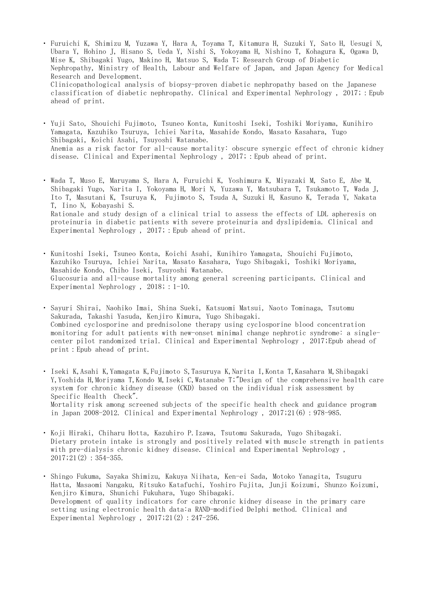・ Furuichi K, Shimizu M, Yuzawa Y, Hara A, Toyama T, Kitamura H, Suzuki Y, Sato H, Uesugi N, Ubara Y, Hohino J, Hisano S, Ueda Y, Nishi S, Yokoyama H, Nishino T, Kohagura K, Ogawa D, Mise K, Shibagaki Yugo, Makino H, Matsuo S, Wada T; Research Group of Diabetic Nephropathy, Ministry of Health, Labour and Welfare of Japan, and Japan Agency for Medical Research and Development. Clinicopathological analysis of biopsy-proven diabetic nephropathy based on the Japanese classification of diabetic nephropathy. Clinical and Experimental Nephrology , 2017;:Epub ahead of print.

・ Yuji Sato, Shouichi Fujimoto, Tsuneo Konta, Kunitoshi Iseki, Toshiki Moriyama, Kunihiro Yamagata, Kazuhiko Tsuruya, Ichiei Narita, Masahide Kondo, Masato Kasahara, Yugo Shibagaki, Koichi Asahi, Tsuyoshi Watanabe. Anemia as a risk factor for all-cause mortality: obscure synergic effect of chronic kidney disease. Clinical and Experimental Nephrology , 2017;:Epub ahead of print.

- ・ Wada T, Muso E, Maruyama S, Hara A, Furuichi K, Yoshimura K, Miyazaki M, Sato E, Abe M, Shibagaki Yugo, Narita I, Yokoyama H, Mori N, Yuzawa Y, Matsubara T, Tsukamoto T, Wada J, Ito T, Masutani K, Tsuruya K, Fujimoto S, Tsuda A, Suzuki H, Kasuno K, Terada Y, Nakata T, Iino N, Kobayashi S. Rationale and study design of a clinical trial to assess the effects of LDL apheresis on proteinuria in diabetic patients with severe proteinuria and dyslipidemia. Clinical and Experimental Nephrology, 2017; : Epub ahead of print.
- ・ Kunitoshi Iseki, Tsuneo Konta, Koichi Asahi, Kunihiro Yamagata, Shouichi Fujimoto, Kazuhiko Tsuruya, Ichiei Narita, Masato Kasahara, Yugo Shibagaki, Toshiki Moriyama, Masahide Kondo, Chiho Iseki, Tsuyoshi Watanabe. Glucosuria and all-cause mortality among general screening participants. Clinical and Experimental Nephrology, 2018; : 1-10.

・ Sayuri Shirai, Naohiko Imai, Shina Sueki, Katsuomi Matsui, Naoto Tominaga, Tsutomu Sakurada, Takashi Yasuda, Kenjiro Kimura, Yugo Shibagaki. Combined cyclosporine and prednisolone therapy using cyclosporine blood concentration monitoring for adult patients with new-onset minimal change nephrotic syndrome: a singlecenter pilot randomized trial. Clinical and Experimental Nephrology , 2017;Epub ahead of print:Epub ahead of print.

- ・ Iseki K,Asahi K,Yamagata K,Fujimoto S,Tasuruya K,Narita I,Konta T,Kasahara M,Shibagaki Y,Yoshida H,Moriyama T,Kondo M,Iseki C,Watanabe T;"Design of the comprehensive health care system for chronic kidney disease (CKD) based on the individual risk assessment by Specific Health Check". Mortality risk among screened subjects of the specific health check and guidance program in Japan 2008-2012. Clinical and Experimental Nephrology , 2017;21(6):978-985.
- ・ Koji Hiraki, Chiharu Hotta, Kazuhiro P.Izawa, Tsutomu Sakurada, Yugo Shibagaki. Dietary protein intake is strongly and positively related with muscle strength in patients with pre-dialysis chronic kidney disease. Clinical and Experimental Nephrology ,  $2017;21(2):354-355.$

・ Shingo Fukuma, Sayaka Shimizu, Kakuya Niihata, Ken-ei Sada, Motoko Yanagita, Tsuguru Hatta, Masaomi Nangaku, Ritsuko Katafuchi, Yoshiro Fujita, Junji Koizumi, Shunzo Koizumi, Kenjiro Kimura, Shunichi Fukuhara, Yugo Shibagaki. Development of quality indicators for care chronic kidney disease in the primary care setting using electronic health data:a RAND-modified Delphi method. Clinical and Experimental Nephrology,  $2017;21(2):247-256$ .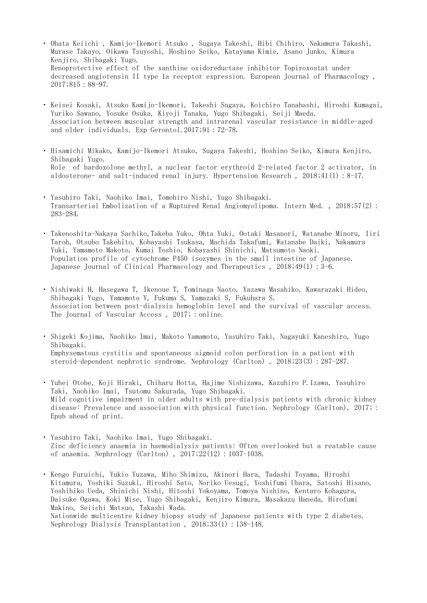- ・ Ohata Keiichi , Kamijo-Ikemori Atsuko , Sugaya Takeshi, Hibi Chihiro, Nakamura Takashi, Murase Takayo, Oikawa Tsuyoshi, Hoshino Seiko, Katayama Kimie, Asano Junko, Kimura Kenjiro, Shibagaki Yugo. Renoprotective effect of the xanthine oxidoreductase inhibitor Topiroxostat under decreased angiotensin II type 1a receptor expression. European Journal of Pharmacology , 2017;815:88-97.
- ・ Keisei Kosaki, Atsuko Kamijo-Ikemori, Takeshi Sugaya, Koichiro Tanahashi, Hiroshi Kumagai, Yuriko Sawano, Yosuke Osuka, Kiyoji Tanaka, Yugo Shibagaki, Seiji Maeda. Association between muscular strength and intrarenal vascular resistance in middle-aged and older individuals. Exp Gerontol.2017;91:72-78.
- ・ Hisamichi Mikako, Kamijo-Ikemori Atsuko, Sugaya Takeshi, Hoshino Seiko, Kimura Kenjiro, Shibagaki Yugo. Role of bardoxolone methyl, a nuclear factor erythroid 2-related factor 2 activator, in aldosterone- and salt-induced renal injury. Hypertension Research , 2018;41(1):8-17.
- ・ Yasuhiro Taki, Naohiko Imai, Tomohiro Nishi, Yugo Shibagaki. Transarterial Embolization of a Ruptured Renal Angiomyolipoma. Intern Med. , 2018;57(2): 283-284.
- ・ Takenoshita-Nakaya Sachiko,Takeba Yuko, Ohta Yuki, Ootaki Masanori, Watanabe Minoru, Iiri Taroh, Otsubo Takehito, Kobayashi Tsukasa, Machida Takafumi, Watanabe Daiki, Nakamura Yuki, Yamamoto Makoto, Kumai Toshio, Kobayashi Shinichi, Matsumoto Naoki. Population profile of cytochrome P450 isozymes in the small intestine of Japanese. Japanese Journal of Clinical Pharmacology and Therapeutics , 2018;49(1):3-6.
- ・ Nishiwaki H, Hasegawa T, Ikenoue T, Tominaga Naoto, Yazawa Masahiko, Kawarazaki Hideo, Shibagaki Yugo, Yamamoto Y, Fukuma S, Yamazaki S, Fukuhara S. Association between post-dialysis hemoglobin level and the survival of vascular access. The Journal of Vascular Access, 2017; : online.
- $\ddot{\phantom{0}}$ Shigeki Kojima, Naohiko Imai, Makoto Yamamoto, Yasuhiro Taki, Nagayuki Kaneshiro, Yugo Shibagaki. Emphysematous cystitis and spontaneous sigmoid colon perforation in a patient with steroid-dependent nephrotic syndrome. Nephrology (Carlton) , 2018;23(3):287-287.
- ・ Yuhei Otobe, Koji Hiraki, Chiharu Hotta, Hajime Nishizawa, Kazuhiro P.Izawa, Yasuhiro Taki, Naohiko Imai, Tsutomu Sakurada, Yugo Shibagaki. Mild cognitive impairment in older adults with pre-dialysis patients with chronic kidney disease: Prevalence and association with physical function. Nephrology (Carlton), 2017; : Epub ahead of print.
- ・ Yasuhiro Taki, Naohiko Imai, Yugo Shibagaki. Zinc deficiency anaemia in haemodialysis patients: Often overlooked but a reatable cause of anaemia. Nephrology (Carlton) , 2017;22(12):1037-1038.
- ・ Kengo Furuichi, Yukio Yuzawa, Miho Shimizu, Akinori Hara, Tadashi Toyama, Hiroshi Kitamura, Yoshiki Suzuki, Hiroshi Sato, Noriko Uesugi, Yoshifumi Ubara, Satoshi Hisano, Yoshihiko Ueda, Shinichi Nishi, Hitoshi Yokoyama, Tomoya Nishino, Kentaro Kohagura, Daisuke Ogawa, Koki Mise, Yugo Shibagaki, Kenjiro Kimura, Masakazu Haneda, Hirofumi Makino, Seiichi Matsuo, Takashi Wada. Nationwide multicentre kidney biopsy study of Japanese patients with type 2 diabetes. Nephrology Dialysis Transplantation, 2018;33(1):138-148.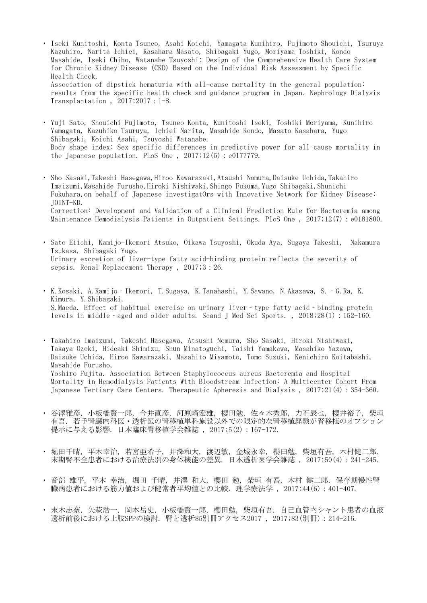- ・ Iseki Kunitoshi, Konta Tsuneo, Asahi Koichi, Yamagata Kunihiro, Fujimoto Shouichi, Tsuruya Kazuhiro, Narita Ichiei, Kasahara Masato, Shibagaki Yugo, Moriyama Toshiki, Kondo Masahide, Iseki Chiho, Watanabe Tsuyoshi; Design of the Comprehensive Health Care System for Chronic Kidney Disease (CKD) Based on the Individual Risk Assessment by Specific Health Check. Association of dipstick hematuria with all-cause mortality in the general population: results from the specific health check and guidance program in Japan. Nephrology Dialysis Transplantation , 2017;2017:1-8.
- ・ Yuji Sato, Shouichi Fujimoto, Tsuneo Konta, Kunitoshi Iseki, Toshiki Moriyama, Kunihiro Yamagata, Kazuhiko Tsuruya, Ichiei Narita, Masahide Kondo, Masato Kasahara, Yugo Shibagaki, Koichi Asahi, Tsuyoshi Watanabe. Body shape index: Sex-specific differences in predictive power for all-cause mortality in the Japanese population. PLoS One,  $2017;12(5):e0177779$ .
- $\ddot{\phantom{0}}$ Sho Sasaki,Takeshi Hasegawa,Hiroo Kawarazaki,Atsushi Nomura,Daisuke Uchida,Takahiro Imaizumi,Masahide Furusho,Hiroki Nishiwaki,Shingo Fukuma,Yugo Shibagaki,Shunichi Fukuhara,on behalf of Japanese investigatOrs with Innovative Network for Kidney Disease: JOINT-KD. Correction: Development and Validation of a Clinical Prediction Rule for Bacteremia among Maintenance Hemodialysis Patients in Outpatient Settings. PloS One , 2017;12(7):e0181800.
- ・ Sato Eiichi, Kamijo-Ikemori Atsuko, Oikawa Tsuyoshi, Okuda Aya, Sugaya Takeshi, Nakamura Tsukasa, Shibagaki Yugo. Urinary excretion of liver-type fatty acid-binding protein reflects the severity of sepsis. Renal Replacement Therapy , 2017;3:26.
- ・ K.Kosaki, A.Kamijo‐Ikemori, T.Sugaya, K.Tanahashi, Y.Sawano, N.Akazawa, S.‐G.Ra, K. Kimura, Y.Shibagaki, S.Maeda. Effect of habitual exercise on urinary liver‐type fatty acid‐binding protein levels in middle‐aged and older adults. Scand J Med Sci Sports. , 2018;28(1):152-160.

・ Takahiro Imaizumi, Takeshi Hasegawa, Atsushi Nomura, Sho Sasaki, Hiroki Nishiwaki, Takaya Ozeki, Hideaki Shimizu, Shun Minatoguchi, Taishi Yamakawa, Masahiko Yazawa, Daisuke Uchida, Hiroo Kawarazaki, Masahito Miyamoto, Tomo Suzuki, Kenichiro Koitabashi, Masahide Furusho, Yoshiro Fujita. Association Between Staphylococcus aureus Bacteremia and Hospital Mortality in Hemodialysis Patients With Bloodstream Infection: A Multicenter Cohort From Japanese Tertiary Care Centers. Therapeutic Apheresis and Dialysis , 2017;21(4):354-360.

- ・ 谷澤雅彦, 小板橋賢一郎, 今井直彦, 河原崎宏雄, 櫻田勉, 佐々木秀郎, 力石辰也, 櫻井裕子, 柴垣 有吾. 若手腎臓内科医・透析医の腎移植単科施設以外での限定的な腎移植経験が腎移植のオプション 提示に与える影響. 日本臨床腎移植学会雑誌 , 2017;5(2):167-172.
- ・ 堀田千晴, 平木幸治, 若宮亜希子, 井澤和大, 渡辺敏, 金城永幸, 櫻田勉, 柴垣有吾, 木村健二郎. 末期腎不全患者における治療法別の身体機能の差異. 日本透析医学会雑誌 , 2017;50(4):241-245.
- ・ 音部 雄平, 平木 幸治, 堀田 千晴, 井澤 和大, 櫻田 勉, 柴垣 有吾, 木村 健二郎. 保存期慢性腎 臓病患者における筋力値および健常者平均値との比較. 理学療法学 , 2017;44(6):401-407.
- $\ddot{\phantom{0}}$ 末木志奈, 矢萩浩一, 岡本岳史, 小板橋賢一郎, 櫻田勉, 柴垣有吾. 自己血管内シャント患者の血液 透析前後における上肢SPPの検討. 腎と透析85別冊アクセス2017 , 2017;83(別冊):214-216.